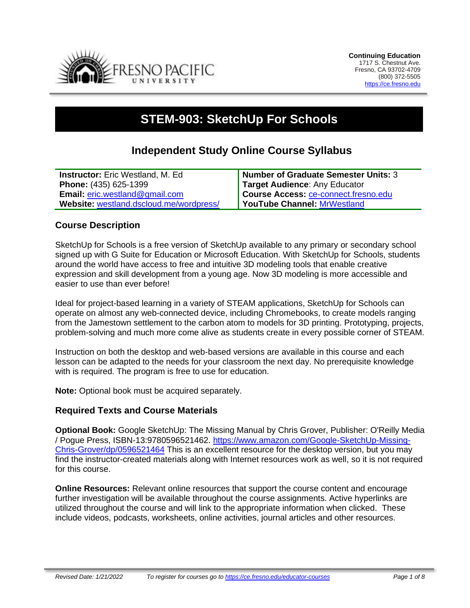

# **STEM-903: SketchUp For Schools**

# **Independent Study Online Course Syllabus**

| <b>Instructor:</b> Eric Westland, M. Ed.           | Number of Graduate Semester Units: 3 |
|----------------------------------------------------|--------------------------------------|
| Phone: (435) 625-1399                              | <b>Target Audience: Any Educator</b> |
| <b>Email: <math>eric.westland@gmail.com</math></b> | Course Access: ce-connect.fresno.edu |
| Website: westland.dscloud.me/wordpress/            | <b>YouTube Channel: MrWestland</b>   |

#### **Course Description**

SketchUp for Schools is a free version of SketchUp available to any primary or secondary school signed up with G Suite for Education or Microsoft Education. With SketchUp for Schools, students around the world have access to free and intuitive 3D modeling tools that enable creative expression and skill development from a young age. Now 3D modeling is more accessible and easier to use than ever before!

Ideal for project-based learning in a variety of STEAM applications, SketchUp for Schools can operate on almost any web-connected device, including Chromebooks, to create models ranging from the Jamestown settlement to the carbon atom to models for 3D printing. Prototyping, projects, problem-solving and much more come alive as students create in every possible corner of STEAM.

Instruction on both the desktop and web-based versions are available in this course and each lesson can be adapted to the needs for your classroom the next day. No prerequisite knowledge with is required. The program is free to use for education.

**Note:** Optional book must be acquired separately.

# **Required Texts and Course Materials**

**Optional Book:** Google SketchUp: The Missing Manual by Chris Grover, Publisher: O'Reilly Media / Pogue Press, ISBN-13:9780596521462. [https://www.amazon.com/Google-SketchUp-Missing-](https://www.amazon.com/Google-SketchUp-Missing-Chris-Grover/dp/0596521464)[Chris-Grover/dp/0596521464](https://www.amazon.com/Google-SketchUp-Missing-Chris-Grover/dp/0596521464) This is an excellent resource for the desktop version, but you may find the instructor-created materials along with Internet resources work as well, so it is not required for this course.

**Online Resources:** Relevant online resources that support the course content and encourage further investigation will be available throughout the course assignments. Active hyperlinks are utilized throughout the course and will link to the appropriate information when clicked. These include videos, podcasts, worksheets, online activities, journal articles and other resources.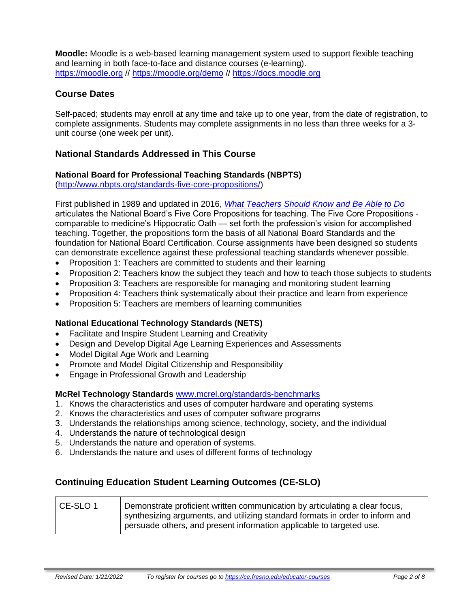**Moodle:** Moodle is a web-based learning management system used to support flexible teaching and learning in both face-to-face and distance courses (e-learning). [https://moodle.org](https://moodle.org/) // <https://moodle.org/demo> // [https://docs.moodle.org](https://docs.moodle.org/)

# **Course Dates**

Self-paced; students may enroll at any time and take up to one year, from the date of registration, to complete assignments. Students may complete assignments in no less than three weeks for a 3 unit course (one week per unit).

# **National Standards Addressed in This Course**

#### **National Board for Professional Teaching Standards (NBPTS)**

[\(http://www.nbpts.org/standards-five-core-propositions/\)](http://www.nbpts.org/standards-five-core-propositions/)

First published in 1989 and updated in 2016, *[What Teachers Should Know and Be Able to Do](http://www.accomplishedteacher.org/)* articulates the National Board's Five Core Propositions for teaching. The Five Core Propositions comparable to medicine's Hippocratic Oath — set forth the profession's vision for accomplished teaching. Together, the propositions form the basis of all National Board Standards and the foundation for National Board Certification. Course assignments have been designed so students can demonstrate excellence against these professional teaching standards whenever possible.

- Proposition 1: Teachers are committed to students and their learning
- Proposition 2: Teachers know the subject they teach and how to teach those subjects to students
- Proposition 3: Teachers are responsible for managing and monitoring student learning
- Proposition 4: Teachers think systematically about their practice and learn from experience
- Proposition 5: Teachers are members of learning communities

#### **National Educational Technology Standards (NETS)**

- Facilitate and Inspire Student Learning and Creativity
- Design and Develop Digital Age Learning Experiences and Assessments
- Model Digital Age Work and Learning
- Promote and Model Digital Citizenship and Responsibility
- Engage in Professional Growth and Leadership

#### **McRel Technology Standards** [www.mcrel.org/standards-benchmarks](http://www.mcrel.org/standards-benchmarks)

- 1. Knows the characteristics and uses of computer hardware and operating systems
- 2. Knows the characteristics and uses of computer software programs
- 3. Understands the relationships among science, technology, society, and the individual
- 4. Understands the nature of technological design
- 5. Understands the nature and operation of systems.
- 6. Understands the nature and uses of different forms of technology

# **Continuing Education Student Learning Outcomes (CE-SLO)**

| CE-SLO 1 | Demonstrate proficient written communication by articulating a clear focus,   |
|----------|-------------------------------------------------------------------------------|
|          | synthesizing arguments, and utilizing standard formats in order to inform and |
|          | persuade others, and present information applicable to targeted use.          |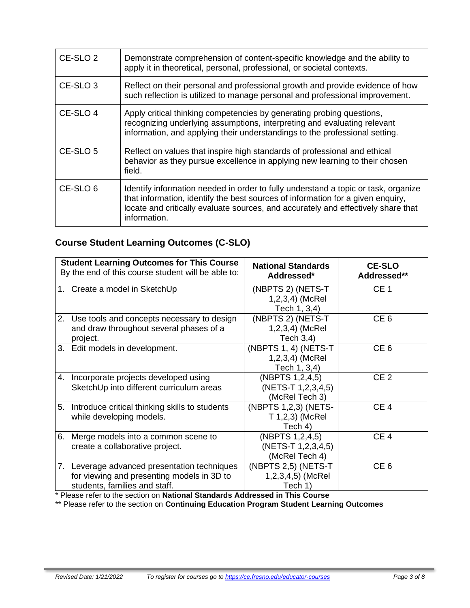| CE-SLO <sub>2</sub> | Demonstrate comprehension of content-specific knowledge and the ability to<br>apply it in theoretical, personal, professional, or societal contexts.                                                                                                                       |
|---------------------|----------------------------------------------------------------------------------------------------------------------------------------------------------------------------------------------------------------------------------------------------------------------------|
| CE-SLO <sub>3</sub> | Reflect on their personal and professional growth and provide evidence of how<br>such reflection is utilized to manage personal and professional improvement.                                                                                                              |
| CE-SLO 4            | Apply critical thinking competencies by generating probing questions,<br>recognizing underlying assumptions, interpreting and evaluating relevant<br>information, and applying their understandings to the professional setting.                                           |
| CE-SLO 5            | Reflect on values that inspire high standards of professional and ethical<br>behavior as they pursue excellence in applying new learning to their chosen<br>field.                                                                                                         |
| CE-SLO 6            | Identify information needed in order to fully understand a topic or task, organize<br>that information, identify the best sources of information for a given enquiry,<br>locate and critically evaluate sources, and accurately and effectively share that<br>information. |

# **Course Student Learning Outcomes (C-SLO)**

|    | <b>Student Learning Outcomes for This Course</b><br>By the end of this course student will be able to:                      | <b>National Standards</b><br>Addressed*                   | <b>CE-SLO</b><br>Addressed** |
|----|-----------------------------------------------------------------------------------------------------------------------------|-----------------------------------------------------------|------------------------------|
|    | 1. Create a model in SketchUp                                                                                               | (NBPTS 2) (NETS-T<br>1,2,3,4) (McRel<br>Tech 1, 3,4)      | CE <sub>1</sub>              |
|    | 2. Use tools and concepts necessary to design<br>and draw throughout several phases of a<br>project.                        | (NBPTS 2) (NETS-T<br>1,2,3,4) (McRel<br>Tech $3,4$ )      | CE <sub>6</sub>              |
|    | 3. Edit models in development.                                                                                              | (NBPTS 1, 4) (NETS-T<br>$1,2,3,4$ (McRel)<br>Tech 1, 3,4) | CE <sub>6</sub>              |
| 4. | Incorporate projects developed using<br>SketchUp into different curriculum areas                                            | (NBPTS 1,2,4,5)<br>(NETS-T 1,2,3,4,5)<br>(McRel Tech 3)   | CE <sub>2</sub>              |
| 5. | Introduce critical thinking skills to students<br>while developing models.                                                  | (NBPTS 1,2,3) (NETS-<br>T 1,2,3) (McRel<br>Tech 4)        | CE <sub>4</sub>              |
| 6. | Merge models into a common scene to<br>create a collaborative project.                                                      | (NBPTS 1,2,4,5)<br>(NETS-T 1,2,3,4,5)<br>(McRel Tech 4)   | CE <sub>4</sub>              |
|    | 7. Leverage advanced presentation techniques<br>for viewing and presenting models in 3D to<br>students, families and staff. | (NBPTS 2,5) (NETS-T<br>1,2,3,4,5) (McRel<br>Tech 1)       | CE <sub>6</sub>              |

\* Please refer to the section on **National Standards Addressed in This Course**

\*\* Please refer to the section on **Continuing Education Program Student Learning Outcomes**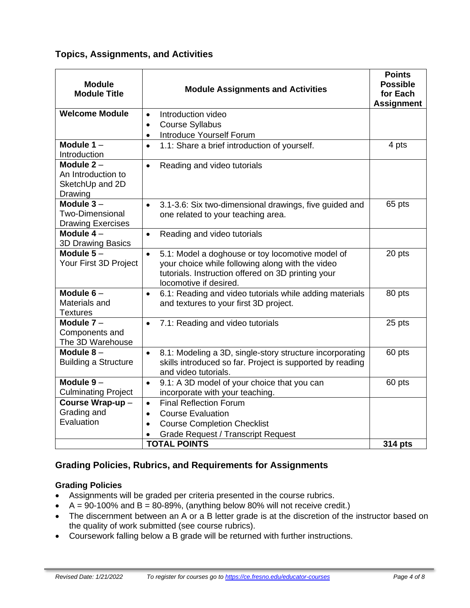# **Topics, Assignments, and Activities**

| <b>Module</b><br><b>Module Title</b>                              | <b>Module Assignments and Activities</b>                                                                                                                                                          | <b>Points</b><br><b>Possible</b><br>for Each<br><b>Assignment</b> |
|-------------------------------------------------------------------|---------------------------------------------------------------------------------------------------------------------------------------------------------------------------------------------------|-------------------------------------------------------------------|
| <b>Welcome Module</b>                                             | Introduction video<br>$\bullet$                                                                                                                                                                   |                                                                   |
|                                                                   | <b>Course Syllabus</b><br>$\bullet$                                                                                                                                                               |                                                                   |
|                                                                   | Introduce Yourself Forum<br>$\bullet$                                                                                                                                                             |                                                                   |
| Module $1 -$<br>Introduction                                      | 1.1: Share a brief introduction of yourself.<br>$\bullet$                                                                                                                                         | 4 pts                                                             |
| Module $2 -$<br>An Introduction to<br>SketchUp and 2D<br>Drawing  | Reading and video tutorials<br>$\bullet$                                                                                                                                                          |                                                                   |
| Module $3-$<br><b>Two-Dimensional</b><br><b>Drawing Exercises</b> | 3.1-3.6: Six two-dimensional drawings, five guided and<br>$\bullet$<br>one related to your teaching area.                                                                                         | 65 pts                                                            |
| Module $4-$<br>3D Drawing Basics                                  | Reading and video tutorials<br>$\bullet$                                                                                                                                                          |                                                                   |
| Module $5-$<br>Your First 3D Project                              | 5.1: Model a doghouse or toy locomotive model of<br>$\bullet$<br>your choice while following along with the video<br>tutorials. Instruction offered on 3D printing your<br>locomotive if desired. | 20 pts                                                            |
| Module $6-$<br>Materials and<br><b>Textures</b>                   | 6.1: Reading and video tutorials while adding materials<br>$\bullet$<br>and textures to your first 3D project.                                                                                    | 80 pts                                                            |
| Module $7 -$<br>Components and<br>The 3D Warehouse                | 7.1: Reading and video tutorials<br>$\bullet$                                                                                                                                                     | 25 pts                                                            |
| Module $8-$<br><b>Building a Structure</b>                        | 8.1: Modeling a 3D, single-story structure incorporating<br>$\bullet$<br>skills introduced so far. Project is supported by reading<br>and video tutorials.                                        | 60 pts                                                            |
| Module $9-$                                                       | 9.1: A 3D model of your choice that you can<br>$\bullet$                                                                                                                                          | 60 pts                                                            |
| <b>Culminating Project</b>                                        | incorporate with your teaching.                                                                                                                                                                   |                                                                   |
| Course Wrap-up-                                                   | <b>Final Reflection Forum</b><br>$\bullet$                                                                                                                                                        |                                                                   |
| Grading and                                                       | <b>Course Evaluation</b><br>$\bullet$                                                                                                                                                             |                                                                   |
| Evaluation                                                        | <b>Course Completion Checklist</b><br>$\bullet$                                                                                                                                                   |                                                                   |
|                                                                   | <b>Grade Request / Transcript Request</b>                                                                                                                                                         |                                                                   |
|                                                                   | <b>TOTAL POINTS</b>                                                                                                                                                                               | 314 pts                                                           |

# **Grading Policies, Rubrics, and Requirements for Assignments**

# **Grading Policies**

- Assignments will be graded per criteria presented in the course rubrics.
- $A = 90-100\%$  and  $B = 80-89\%$ , (anything below 80% will not receive credit.)
- The discernment between an A or a B letter grade is at the discretion of the instructor based on the quality of work submitted (see course rubrics).
- Coursework falling below a B grade will be returned with further instructions.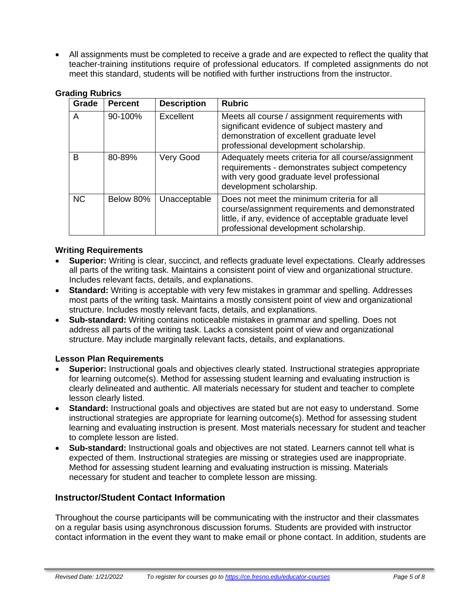• All assignments must be completed to receive a grade and are expected to reflect the quality that teacher-training institutions require of professional educators. If completed assignments do not meet this standard, students will be notified with further instructions from the instructor.

| <br>Grade | <b>Percent</b> | <b>Description</b> | <b>Rubric</b>                                                                                                                                                                                   |
|-----------|----------------|--------------------|-------------------------------------------------------------------------------------------------------------------------------------------------------------------------------------------------|
| A         | 90-100%        | Excellent          | Meets all course / assignment requirements with<br>significant evidence of subject mastery and<br>demonstration of excellent graduate level<br>professional development scholarship.            |
| B         | 80-89%         | Very Good          | Adequately meets criteria for all course/assignment<br>requirements - demonstrates subject competency<br>with very good graduate level professional<br>development scholarship.                 |
| <b>NC</b> | Below 80%      | Unacceptable       | Does not meet the minimum criteria for all<br>course/assignment requirements and demonstrated<br>little, if any, evidence of acceptable graduate level<br>professional development scholarship. |

#### **Grading Rubrics**

#### **Writing Requirements**

- **Superior:** Writing is clear, succinct, and reflects graduate level expectations. Clearly addresses all parts of the writing task. Maintains a consistent point of view and organizational structure. Includes relevant facts, details, and explanations.
- **Standard:** Writing is acceptable with very few mistakes in grammar and spelling. Addresses most parts of the writing task. Maintains a mostly consistent point of view and organizational structure. Includes mostly relevant facts, details, and explanations.
- **Sub-standard:** Writing contains noticeable mistakes in grammar and spelling. Does not address all parts of the writing task. Lacks a consistent point of view and organizational structure. May include marginally relevant facts, details, and explanations.

#### **Lesson Plan Requirements**

- **Superior:** Instructional goals and objectives clearly stated. Instructional strategies appropriate for learning outcome(s). Method for assessing student learning and evaluating instruction is clearly delineated and authentic. All materials necessary for student and teacher to complete lesson clearly listed.
- **Standard:** Instructional goals and objectives are stated but are not easy to understand. Some instructional strategies are appropriate for learning outcome(s). Method for assessing student learning and evaluating instruction is present. Most materials necessary for student and teacher to complete lesson are listed.
- **Sub-standard:** Instructional goals and objectives are not stated. Learners cannot tell what is expected of them. Instructional strategies are missing or strategies used are inappropriate. Method for assessing student learning and evaluating instruction is missing. Materials necessary for student and teacher to complete lesson are missing.

#### **Instructor/Student Contact Information**

Throughout the course participants will be communicating with the instructor and their classmates on a regular basis using asynchronous discussion forums. Students are provided with instructor contact information in the event they want to make email or phone contact. In addition, students are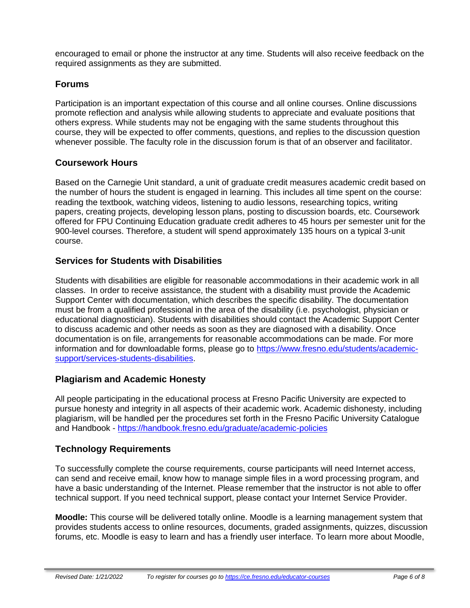encouraged to email or phone the instructor at any time. Students will also receive feedback on the required assignments as they are submitted.

#### **Forums**

Participation is an important expectation of this course and all online courses. Online discussions promote reflection and analysis while allowing students to appreciate and evaluate positions that others express. While students may not be engaging with the same students throughout this course, they will be expected to offer comments, questions, and replies to the discussion question whenever possible. The faculty role in the discussion forum is that of an observer and facilitator.

#### **Coursework Hours**

Based on the Carnegie Unit standard, a unit of graduate credit measures academic credit based on the number of hours the student is engaged in learning. This includes all time spent on the course: reading the textbook, watching videos, listening to audio lessons, researching topics, writing papers, creating projects, developing lesson plans, posting to discussion boards, etc. Coursework offered for FPU Continuing Education graduate credit adheres to 45 hours per semester unit for the 900-level courses. Therefore, a student will spend approximately 135 hours on a typical 3-unit course.

# **Services for Students with Disabilities**

Students with disabilities are eligible for reasonable accommodations in their academic work in all classes. In order to receive assistance, the student with a disability must provide the Academic Support Center with documentation, which describes the specific disability. The documentation must be from a qualified professional in the area of the disability (i.e. psychologist, physician or educational diagnostician). Students with disabilities should contact the Academic Support Center to discuss academic and other needs as soon as they are diagnosed with a disability. Once documentation is on file, arrangements for reasonable accommodations can be made. For more information and for downloadable forms, please go to [https://www.fresno.edu/students/academic](https://www.fresno.edu/students/academic-support/services-students-disabilities)[support/services-students-disabilities.](https://www.fresno.edu/students/academic-support/services-students-disabilities)

# **Plagiarism and Academic Honesty**

All people participating in the educational process at Fresno Pacific University are expected to pursue honesty and integrity in all aspects of their academic work. Academic dishonesty, including plagiarism, will be handled per the procedures set forth in the Fresno Pacific University Catalogue and Handbook - <https://handbook.fresno.edu/graduate/academic-policies>

# **Technology Requirements**

To successfully complete the course requirements, course participants will need Internet access, can send and receive email, know how to manage simple files in a word processing program, and have a basic understanding of the Internet. Please remember that the instructor is not able to offer technical support. If you need technical support, please contact your Internet Service Provider.

**Moodle:** This course will be delivered totally online. Moodle is a learning management system that provides students access to online resources, documents, graded assignments, quizzes, discussion forums, etc. Moodle is easy to learn and has a friendly user interface. To learn more about Moodle,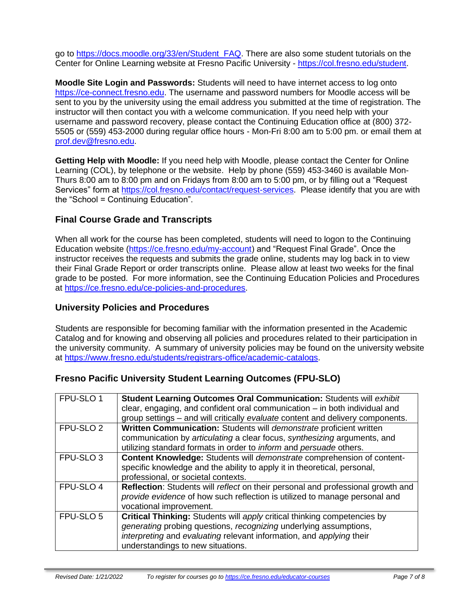go to [https://docs.moodle.org/33/en/Student\\_FAQ.](https://docs.moodle.org/33/en/Student_FAQ) There are also some student tutorials on the Center for Online Learning website at Fresno Pacific University - [https://col.fresno.edu/student.](https://col.fresno.edu/student)

**Moodle Site Login and Passwords:** Students will need to have internet access to log onto [https://ce-connect.fresno.edu.](https://ce-connect.fresno.edu/) The username and password numbers for Moodle access will be sent to you by the university using the email address you submitted at the time of registration. The instructor will then contact you with a welcome communication. If you need help with your username and password recovery, please contact the Continuing Education office at (800) 372- 5505 or (559) 453-2000 during regular office hours - Mon-Fri 8:00 am to 5:00 pm. or email them at [prof.dev@fresno.edu.](mailto:prof.dev@fresno.edu)

**Getting Help with Moodle:** If you need help with Moodle, please contact the Center for Online Learning (COL), by telephone or the website. Help by phone (559) 453-3460 is available Mon-Thurs 8:00 am to 8:00 pm and on Fridays from 8:00 am to 5:00 pm, or by filling out a "Request Services" form at [https://col.fresno.edu/contact/request-services.](https://col.fresno.edu/contact/request-services) Please identify that you are with the "School = Continuing Education".

# **Final Course Grade and Transcripts**

When all work for the course has been completed, students will need to logon to the Continuing Education website [\(https://ce.fresno.edu/my-account\)](https://ce.fresno.edu/my-account) and "Request Final Grade". Once the instructor receives the requests and submits the grade online, students may log back in to view their Final Grade Report or order transcripts online. Please allow at least two weeks for the final grade to be posted. For more information, see the Continuing Education Policies and Procedures at [https://ce.fresno.edu/ce-policies-and-procedures.](https://ce.fresno.edu/ce-policies-and-procedures)

# **University Policies and Procedures**

Students are responsible for becoming familiar with the information presented in the Academic Catalog and for knowing and observing all policies and procedures related to their participation in the university community. A summary of university policies may be found on the university website at [https://www.fresno.edu/students/registrars-office/academic-catalogs.](https://www.fresno.edu/students/registrars-office/academic-catalogs)

# **Fresno Pacific University Student Learning Outcomes (FPU-SLO)**

| FPU-SLO 1            | Student Learning Outcomes Oral Communication: Students will exhibit<br>clear, engaging, and confident oral communication – in both individual and |  |
|----------------------|---------------------------------------------------------------------------------------------------------------------------------------------------|--|
|                      | group settings - and will critically evaluate content and delivery components.                                                                    |  |
| FPU-SLO <sub>2</sub> | Written Communication: Students will demonstrate proficient written                                                                               |  |
|                      | communication by articulating a clear focus, synthesizing arguments, and                                                                          |  |
|                      | utilizing standard formats in order to <i>inform</i> and <i>persuade</i> others.                                                                  |  |
| FPU-SLO <sub>3</sub> | Content Knowledge: Students will demonstrate comprehension of content-                                                                            |  |
|                      | specific knowledge and the ability to apply it in theoretical, personal,                                                                          |  |
|                      | professional, or societal contexts.                                                                                                               |  |
| FPU-SLO 4            | Reflection: Students will reflect on their personal and professional growth and                                                                   |  |
|                      | provide evidence of how such reflection is utilized to manage personal and                                                                        |  |
|                      | vocational improvement.                                                                                                                           |  |
| FPU-SLO 5            | <b>Critical Thinking:</b> Students will apply critical thinking competencies by                                                                   |  |
|                      | generating probing questions, recognizing underlying assumptions,                                                                                 |  |
|                      | interpreting and evaluating relevant information, and applying their                                                                              |  |
|                      | understandings to new situations.                                                                                                                 |  |